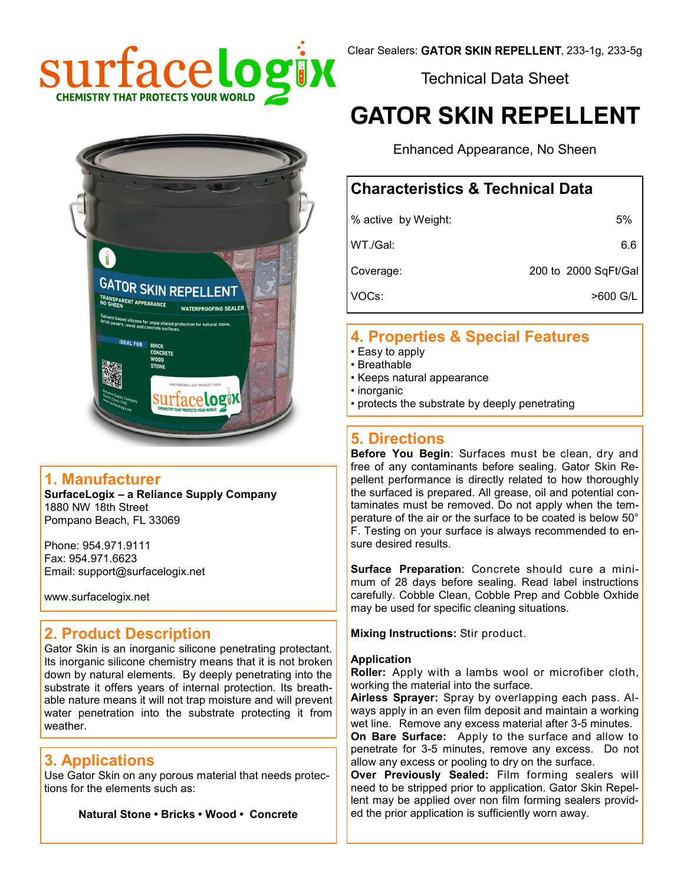

Technical Data Sheet

# **GATOR SKIN REPELLENT**

Enhanced Appearance, No Sheen

# **Characteristics & Technical Data**

| % active by Weight: | 5%                   |
|---------------------|----------------------|
| WT./Gal:            | 6.6                  |
| Coverage:           | 200 to 2000 SqFt/Gal |
| VOCs:               | >600 G/L             |

# **4. Properties & Special Features**

- Easy to apply
- Breathable
- Keeps natural appearance
- inorganic
- protects the substrate by deeply penetrating

# **5. Directions**

**Before You Begin**: Surfaces must be clean, dry and free of any contaminants before sealing. Gator Skin Repellent performance is directly related to how thoroughly the surfaced is prepared. All grease, oil and potential contaminates must be removed. Do not apply when the temperature of the air or the surface to be coated is below 50° F. Testing on your surface is always recommended to ensure desired results.

**Surface Preparation**: Concrete should cure a minimum of 28 days before sealing. Read label instructions carefully. Cobble Clean, Cobble Prep and Cobble Oxhide may be used for specific cleaning situations.

**Mixing Instructions:** Stir product.

#### **Application**

**Roller:** Apply with a lambs wool or microfiber cloth, working the material into the surface.

**Airless Sprayer:** Spray by overlapping each pass. Always apply in an even film deposit and maintain a working wet line.Remove any excess material after 3-5 minutes.

**On Bare Surface:** Apply to the surface and allow to penetrate for 3-5 minutes, remove any excess. Do not allow any excess or pooling to dry on the surface.

**Over Previously Sealed:** Film forming sealers will need to be stripped prior to application. Gator Skin Repellent may be applied over non film forming sealers provided the prior application is sufficiently worn away.



#### **1. Manufacturer**

**SurfaceLogix – a Reliance Supply Company** 1880 NW 18th Street Pompano Beach, FL 33069

Phone: 954.971.9111 Fax: 954.971.6623 Email: support@surfacelogix.net

www.surfacelogix.net

# **2. Product Description**

Gator Skin is an inorganic silicone penetrating protectant. Its inorganic silicone chemistry means that it is not broken down by natural elements. By deeply penetrating into the substrate it offers years of internal protection. Its breathable nature means it will not trap moisture and will prevent water penetration into the substrate protecting it from weather.

# **3. Applications**

Use Gator Skin on any porous material that needs protections for the elements such as:

**Natural Stone • Bricks • Wood • Concrete**